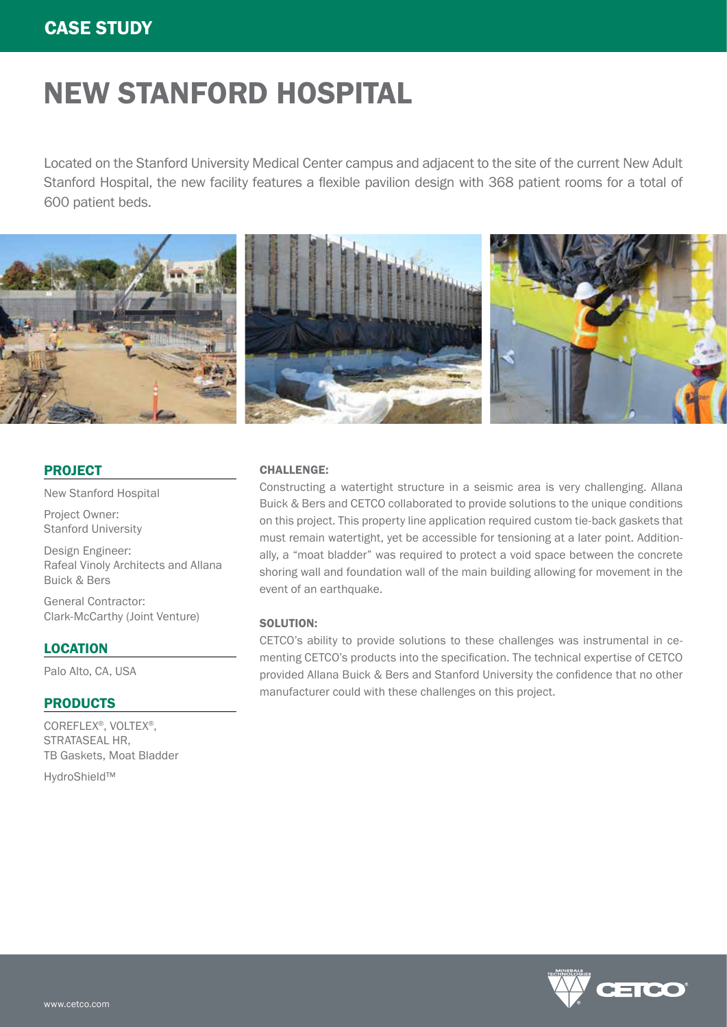### CASE STUDY

# NEW STANFORD HOSPITAL

Located on the Stanford University Medical Center campus and adjacent to the site of the current New Adult Stanford Hospital, the new facility features a flexible pavilion design with 368 patient rooms for a total of 600 patient beds.



#### PROJECT

New Stanford Hospital Project Owner: Stanford University

Design Engineer: Rafeal Vinoly Architects and Allana Buick & Bers

General Contractor: Clark-McCarthy (Joint Venture)

LOCATION

Palo Alto, CA, USA

#### PRODUCTS

COREFLEX®, VOLTEX®, STRATASEAL HR, TB Gaskets, Moat Bladder

HydroShield™

#### CHALLENGE:

Constructing a watertight structure in a seismic area is very challenging. Allana Buick & Bers and CETCO collaborated to provide solutions to the unique conditions on this project. This property line application required custom tie-back gaskets that must remain watertight, yet be accessible for tensioning at a later point. Additionally, a "moat bladder" was required to protect a void space between the concrete shoring wall and foundation wall of the main building allowing for movement in the event of an earthquake.

#### SOLUTION:

CETCO's ability to provide solutions to these challenges was instrumental in cementing CETCO's products into the specification. The technical expertise of CETCO provided Allana Buick & Bers and Stanford University the confidence that no other manufacturer could with these challenges on this project.